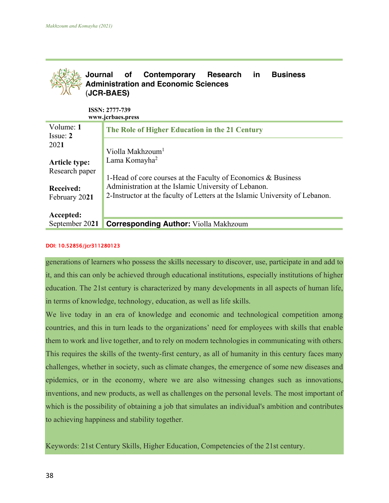

**ISSN: 2777-739 www.jcrbaes.press**

| Volume: 1<br>Issue: 2                  | The Role of Higher Education in the 21 Century                                                                                       |
|----------------------------------------|--------------------------------------------------------------------------------------------------------------------------------------|
| 2021                                   | Violla Makhzoum <sup>1</sup>                                                                                                         |
| <b>Article type:</b><br>Research paper | Lama Komayha <sup>2</sup><br>1-Head of core courses at the Faculty of Economics & Business                                           |
| <b>Received:</b><br>February 2021      | Administration at the Islamic University of Lebanon.<br>2-Instructor at the faculty of Letters at the Islamic University of Lebanon. |
| Accepted:                              |                                                                                                                                      |
| September 2021                         | <b>Corresponding Author:</b> Violla Makhzoum                                                                                         |

#### DOI: 10.52856/jcr311280123

generations of learners who possess the skills necessary to discover, use, participate in and add to it, and this can only be achieved through educational institutions, especially institutions of higher education. The 21st century is characterized by many developments in all aspects of human life, in terms of knowledge, technology, education, as well as life skills.

We live today in an era of knowledge and economic and technological competition among countries, and this in turn leads to the organizations' need for employees with skills that enable them to work and live together, and to rely on modern technologies in communicating with others. This requires the skills of the twenty-first century, as all of humanity in this century faces many challenges, whether in society, such as climate changes, the emergence of some new diseases and epidemics, or in the economy, where we are also witnessing changes such as innovations, inventions, and new products, as well as challenges on the personal levels. The most important of which is the possibility of obtaining a job that simulates an individual's ambition and contributes to achieving happiness and stability together.

Keywords: 21st Century Skills, Higher Education, Competencies of the 21st century.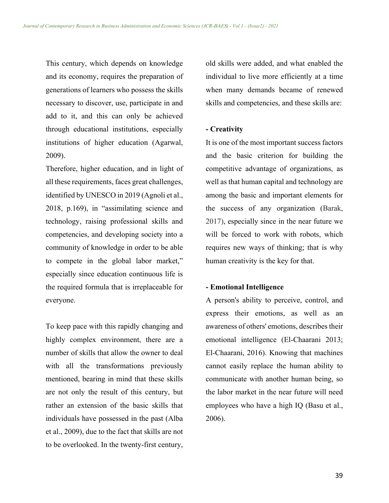This century, which depends on knowledge and its economy, requires the preparation of generations of learners who possess the skills necessary to discover, use, participate in and add to it, and this can only be achieved through educational institutions, especially institutions of higher education (Agarwal, 2009).

Therefore, higher education, and in light of all these requirements, faces great challenges, identified by UNESCO in 2019 (Agnoli et al., 2018, p.169), in "assimilating science and technology, raising professional skills and competencies, and developing society into a community of knowledge in order to be able to compete in the global labor market," especially since education continuous life is the required formula that is irreplaceable for everyone.

To keep pace with this rapidly changing and highly complex environment, there are a number of skills that allow the owner to deal with all the transformations previously mentioned, bearing in mind that these skills are not only the result of this century, but rather an extension of the basic skills that individuals have possessed in the past (Alba et al., 2009), due to the fact that skills are not to be overlooked. In the twenty-first century,

old skills were added, and what enabled the individual to live more efficiently at a time when many demands became of renewed skills and competencies, and these skills are:

# **- Creativity**

It is one of the most important success factors and the basic criterion for building the competitive advantage of organizations, as well as that human capital and technology are among the basic and important elements for the success of any organization (Barak, 2017), especially since in the near future we will be forced to work with robots, which requires new ways of thinking; that is why human creativity is the key for that.

## **- Emotional Intelligence**

A person's ability to perceive, control, and express their emotions, as well as an awareness of others' emotions, describes their emotional intelligence (El-Chaarani 2013; El-Chaarani, 2016). Knowing that machines cannot easily replace the human ability to communicate with another human being, so the labor market in the near future will need employees who have a high IQ (Basu et al., 2006).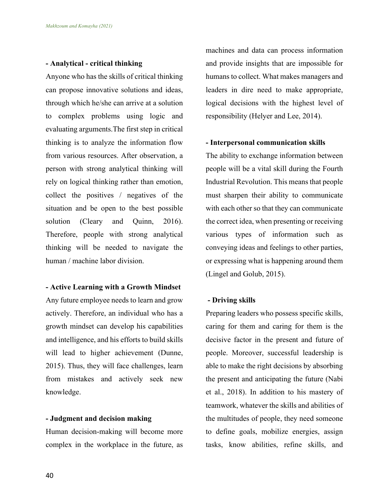## **- Analytical - critical thinking**

Anyone who has the skills of critical thinking can propose innovative solutions and ideas, through which he/she can arrive at a solution to complex problems using logic and evaluating arguments.The first step in critical thinking is to analyze the information flow from various resources. After observation, a person with strong analytical thinking will rely on logical thinking rather than emotion, collect the positives / negatives of the situation and be open to the best possible solution (Cleary and Quinn, 2016). Therefore, people with strong analytical thinking will be needed to navigate the human / machine labor division.

## **- Active Learning with a Growth Mindset**

Any future employee needs to learn and grow actively. Therefore, an individual who has a growth mindset can develop his capabilities and intelligence, and his efforts to build skills will lead to higher achievement (Dunne, 2015). Thus, they will face challenges, learn from mistakes and actively seek new knowledge.

## **- Judgment and decision making**

Human decision-making will become more complex in the workplace in the future, as machines and data can process information and provide insights that are impossible for humans to collect. What makes managers and leaders in dire need to make appropriate, logical decisions with the highest level of responsibility (Helyer and Lee, 2014).

#### **- Interpersonal communication skills**

The ability to exchange information between people will be a vital skill during the Fourth Industrial Revolution. This means that people must sharpen their ability to communicate with each other so that they can communicate the correct idea, when presenting or receiving various types of information such as conveying ideas and feelings to other parties, or expressing what is happening around them (Lingel and Golub, 2015).

# **- Driving skills**

Preparing leaders who possess specific skills, caring for them and caring for them is the decisive factor in the present and future of people. Moreover, successful leadership is able to make the right decisions by absorbing the present and anticipating the future (Nabi et al., 2018). In addition to his mastery of teamwork, whatever the skills and abilities of the multitudes of people, they need someone to define goals, mobilize energies, assign tasks, know abilities, refine skills, and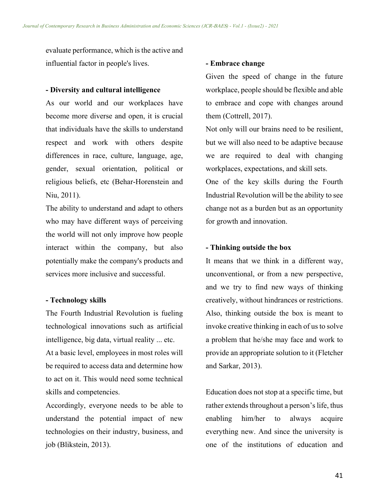evaluate performance, which is the active and influential factor in people's lives.

#### **- Diversity and cultural intelligence**

As our world and our workplaces have become more diverse and open, it is crucial that individuals have the skills to understand respect and work with others despite differences in race, culture, language, age, gender, sexual orientation, political or religious beliefs, etc (Behar-Horenstein and Niu, 2011).

The ability to understand and adapt to others who may have different ways of perceiving the world will not only improve how people interact within the company, but also potentially make the company's products and services more inclusive and successful.

# **- Technology skills**

The Fourth Industrial Revolution is fueling technological innovations such as artificial intelligence, big data, virtual reality ... etc.

At a basic level, employees in most roles will be required to access data and determine how to act on it. This would need some technical skills and competencies.

Accordingly, everyone needs to be able to understand the potential impact of new technologies on their industry, business, and job (Blikstein, 2013).

## **- Embrace change**

Given the speed of change in the future workplace, people should be flexible and able to embrace and cope with changes around them (Cottrell, 2017).

Not only will our brains need to be resilient, but we will also need to be adaptive because we are required to deal with changing workplaces, expectations, and skill sets.

One of the key skills during the Fourth Industrial Revolution will be the ability to see change not as a burden but as an opportunity for growth and innovation.

# **- Thinking outside the box**

It means that we think in a different way, unconventional, or from a new perspective, and we try to find new ways of thinking creatively, without hindrances or restrictions. Also, thinking outside the box is meant to invoke creative thinking in each of us to solve a problem that he/she may face and work to provide an appropriate solution to it (Fletcher and Sarkar, 2013).

Education does not stop at a specific time, but rather extends throughout a person's life, thus enabling him/her to always acquire everything new. And since the university is one of the institutions of education and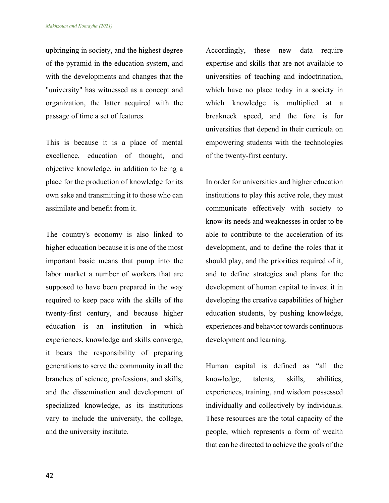upbringing in society, and the highest degree of the pyramid in the education system, and with the developments and changes that the "university" has witnessed as a concept and organization, the latter acquired with the passage of time a set of features.

This is because it is a place of mental excellence, education of thought, and objective knowledge, in addition to being a place for the production of knowledge for its own sake and transmitting it to those who can assimilate and benefit from it.

The country's economy is also linked to higher education because it is one of the most important basic means that pump into the labor market a number of workers that are supposed to have been prepared in the way required to keep pace with the skills of the twenty-first century, and because higher education is an institution in which experiences, knowledge and skills converge, it bears the responsibility of preparing generations to serve the community in all the branches of science, professions, and skills, and the dissemination and development of specialized knowledge, as its institutions vary to include the university, the college, and the university institute.

Accordingly, these new data require expertise and skills that are not available to universities of teaching and indoctrination, which have no place today in a society in which knowledge is multiplied at a breakneck speed, and the fore is for universities that depend in their curricula on empowering students with the technologies of the twenty-first century.

In order for universities and higher education institutions to play this active role, they must communicate effectively with society to know its needs and weaknesses in order to be able to contribute to the acceleration of its development, and to define the roles that it should play, and the priorities required of it, and to define strategies and plans for the development of human capital to invest it in developing the creative capabilities of higher education students, by pushing knowledge, experiences and behavior towards continuous development and learning.

Human capital is defined as "all the knowledge, talents, skills, abilities, experiences, training, and wisdom possessed individually and collectively by individuals. These resources are the total capacity of the people, which represents a form of wealth that can be directed to achieve the goals of the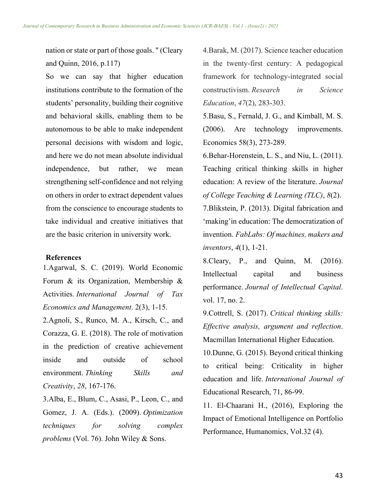nation or state or part of those goals. " (Cleary and Quinn, 2016, p.117)

So we can say that higher education institutions contribute to the formation of the students' personality, building their cognitive and behavioral skills, enabling them to be autonomous to be able to make independent personal decisions with wisdom and logic, and here we do not mean absolute individual independence, but rather, we mean strengthening self-confidence and not relying on others in order to extract dependent values from the conscience to encourage students to take individual and creative initiatives that are the basic criterion in university work.

#### **References**

1.Agarwal, S. C. (2019). World Economic Forum & its Organization, Membership & Activities. *International Journal of Tax Economics and Management*. 2(3), 1-15.

2.Agnoli, S., Runco, M. A., Kirsch, C., and Corazza, G. E. (2018). The role of motivation in the prediction of creative achievement inside and outside of school environment. *Thinking Skills and Creativity*, *28*, 167-176.

3.Alba, E., Blum, C., Asasi, P., Leon, C., and Gomez, J. A. (Eds.). (2009). *Optimization techniques for solving complex problems* (Vol. 76). John Wiley & Sons.

4.Barak, M. (2017). Science teacher education in the twenty-first century: A pedagogical framework for technology-integrated social constructivism. *Research in Science Education*, *47*(2), 283-303.

5.Basu, S., Fernald, J. G., and Kimball, M. S. (2006). Are technology improvements. Economics 58(3), 273-289.

6.Behar-Horenstein, L. S., and Niu, L. (2011). Teaching critical thinking skills in higher education: A review of the literature. *Journal of College Teaching & Learning (TLC)*, *8*(2). 7.Blikstein, P. (2013). Digital fabrication and 'making'in education: The democratization of invention. *FabLabs: Of machines, makers and inventors*, *4*(1), 1-21.

8.Cleary, P., and Quinn, M. (2016). Intellectual capital and business performance. *Journal of Intellectual Capital*. vol. 17, no. 2.

9.Cottrell, S. (2017). *Critical thinking skills: Effective analysis, argument and reflection*. Macmillan International Higher Education.

10.Dunne, G. (2015). Beyond critical thinking to critical being: Criticality in higher education and life. *International Journal of*  Educational Research, 71, 86-99.

11. El-Chaarani H., (2016), Exploring the Impact of Emotional Intelligence on Portfolio Performance, Humanomics, Vol.32 (4).